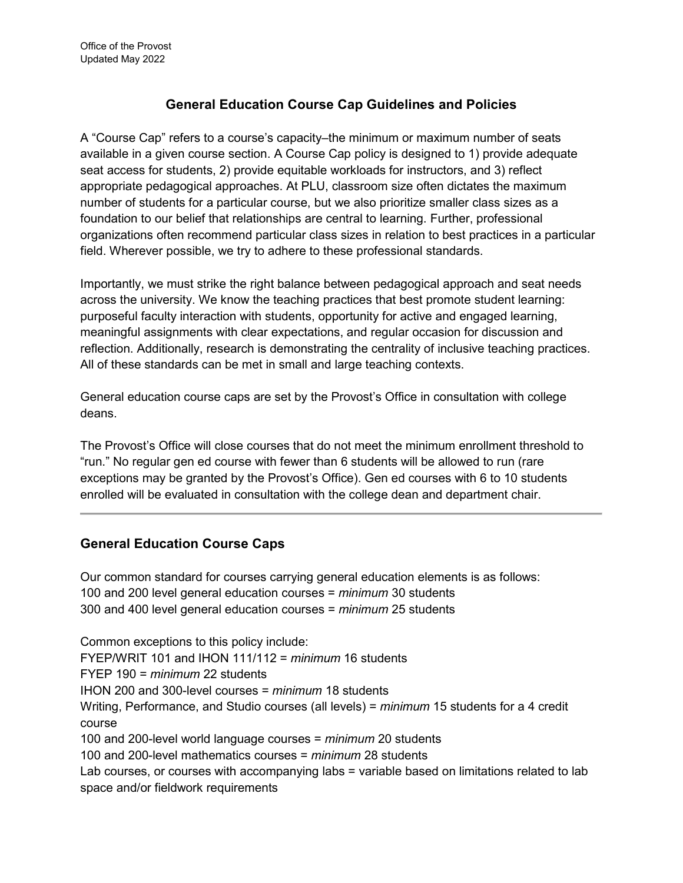## **General Education Course Cap Guidelines and Policies**

A "Course Cap" refers to a course's capacity–the minimum or maximum number of seats available in a given course section. A Course Cap policy is designed to 1) provide adequate seat access for students, 2) provide equitable workloads for instructors, and 3) reflect appropriate pedagogical approaches. At PLU, classroom size often dictates the maximum number of students for a particular course, but we also prioritize smaller class sizes as a foundation to our belief that relationships are central to learning. Further, professional organizations often recommend particular class sizes in relation to best practices in a particular field. Wherever possible, we try to adhere to these professional standards.

Importantly, we must strike the right balance between pedagogical approach and seat needs across the university. We know the teaching practices that best promote student learning: purposeful faculty interaction with students, opportunity for active and engaged learning, meaningful assignments with clear expectations, and regular occasion for discussion and reflection. Additionally, research is demonstrating the centrality of inclusive teaching practices. All of these standards can be met in small and large teaching contexts.

General education course caps are set by the Provost's Office in consultation with college deans.

The Provost's Office will close courses that do not meet the minimum enrollment threshold to "run." No regular gen ed course with fewer than 6 students will be allowed to run (rare exceptions may be granted by the Provost's Office). Gen ed courses with 6 to 10 students enrolled will be evaluated in consultation with the college dean and department chair.

## **General Education Course Caps**

Our common standard for courses carrying general education elements is as follows: 100 and 200 level general education courses = *minimum* 30 students 300 and 400 level general education courses = *minimum* 25 students

Common exceptions to this policy include: FYEP/WRIT 101 and IHON 111/112 = *minimum* 16 students FYEP 190 = *minimum* 22 students IHON 200 and 300-level courses = *minimum* 18 students Writing, Performance, and Studio courses (all levels) = *minimum* 15 students for a 4 credit course 100 and 200-level world language courses = *minimum* 20 students 100 and 200-level mathematics courses = *minimum* 28 students Lab courses, or courses with accompanying labs = variable based on limitations related to lab space and/or fieldwork requirements